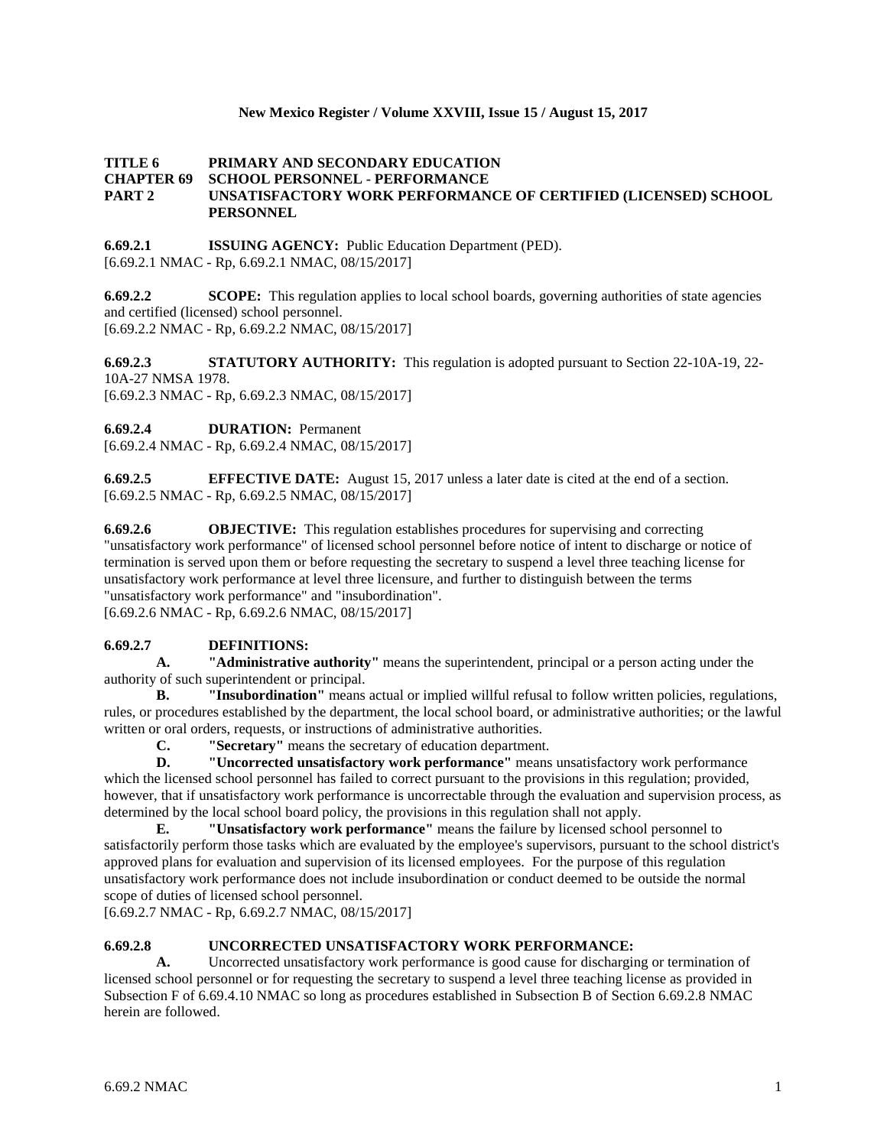# **New Mexico Register / Volume XXVIII, Issue 15 / August 15, 2017**

# **TITLE 6 PRIMARY AND SECONDARY EDUCATION CHAPTER 69 SCHOOL PERSONNEL - PERFORMANCE PART 2 UNSATISFACTORY WORK PERFORMANCE OF CERTIFIED (LICENSED) SCHOOL PERSONNEL**

**6.69.2.1 ISSUING AGENCY:** Public Education Department (PED). [6.69.2.1 NMAC - Rp, 6.69.2.1 NMAC, 08/15/2017]

**6.69.2.2 SCOPE:** This regulation applies to local school boards, governing authorities of state agencies and certified (licensed) school personnel. [6.69.2.2 NMAC - Rp, 6.69.2.2 NMAC, 08/15/2017]

**6.69.2.3 STATUTORY AUTHORITY:** This regulation is adopted pursuant to Section 22-10A-19, 22- 10A-27 NMSA 1978. [6.69.2.3 NMAC - Rp, 6.69.2.3 NMAC, 08/15/2017]

**6.69.2.4 DURATION:** Permanent

[6.69.2.4 NMAC - Rp, 6.69.2.4 NMAC, 08/15/2017]

**6.69.2.5 EFFECTIVE DATE:** August 15, 2017 unless a later date is cited at the end of a section. [6.69.2.5 NMAC - Rp, 6.69.2.5 NMAC, 08/15/2017]

**6.69.2.6 OBJECTIVE:** This regulation establishes procedures for supervising and correcting "unsatisfactory work performance" of licensed school personnel before notice of intent to discharge or notice of termination is served upon them or before requesting the secretary to suspend a level three teaching license for unsatisfactory work performance at level three licensure, and further to distinguish between the terms "unsatisfactory work performance" and "insubordination". [6.69.2.6 NMAC - Rp, 6.69.2.6 NMAC, 08/15/2017]

**6.69.2.7 DEFINITIONS: A. "Administrative authority"** means the superintendent, principal or a person acting under the authority of such superintendent or principal.

**B. "Insubordination"** means actual or implied willful refusal to follow written policies, regulations, rules, or procedures established by the department, the local school board, or administrative authorities; or the lawful written or oral orders, requests, or instructions of administrative authorities.

**C. "Secretary"** means the secretary of education department.

**D. "Uncorrected unsatisfactory work performance"** means unsatisfactory work performance which the licensed school personnel has failed to correct pursuant to the provisions in this regulation; provided, however, that if unsatisfactory work performance is uncorrectable through the evaluation and supervision process, as determined by the local school board policy, the provisions in this regulation shall not apply.

**E. "Unsatisfactory work performance"** means the failure by licensed school personnel to satisfactorily perform those tasks which are evaluated by the employee's supervisors, pursuant to the school district's approved plans for evaluation and supervision of its licensed employees. For the purpose of this regulation unsatisfactory work performance does not include insubordination or conduct deemed to be outside the normal scope of duties of licensed school personnel.

[6.69.2.7 NMAC - Rp, 6.69.2.7 NMAC, 08/15/2017]

# **6.69.2.8 UNCORRECTED UNSATISFACTORY WORK PERFORMANCE:**

**A.** Uncorrected unsatisfactory work performance is good cause for discharging or termination of licensed school personnel or for requesting the secretary to suspend a level three teaching license as provided in Subsection F of 6.69.4.10 NMAC so long as procedures established in Subsection B of Section 6.69.2.8 NMAC herein are followed.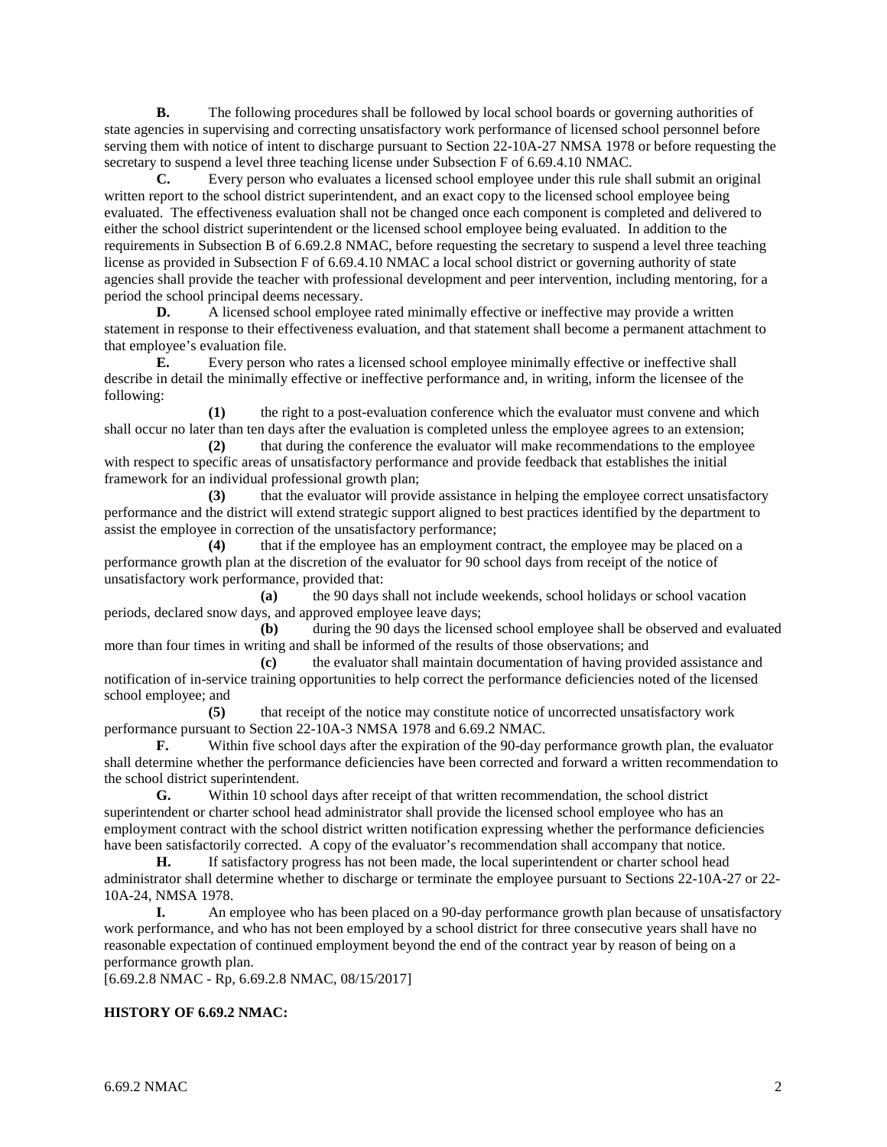**B.** The following procedures shall be followed by local school boards or governing authorities of state agencies in supervising and correcting unsatisfactory work performance of licensed school personnel before serving them with notice of intent to discharge pursuant to Section 22-10A-27 NMSA 1978 or before requesting the secretary to suspend a level three teaching license under Subsection F of 6.69.4.10 NMAC.

**C.** Every person who evaluates a licensed school employee under this rule shall submit an original written report to the school district superintendent, and an exact copy to the licensed school employee being evaluated. The effectiveness evaluation shall not be changed once each component is completed and delivered to either the school district superintendent or the licensed school employee being evaluated. In addition to the requirements in Subsection B of 6.69.2.8 NMAC, before requesting the secretary to suspend a level three teaching license as provided in Subsection F of 6.69.4.10 NMAC a local school district or governing authority of state agencies shall provide the teacher with professional development and peer intervention, including mentoring, for a period the school principal deems necessary.

**D.** A licensed school employee rated minimally effective or ineffective may provide a written statement in response to their effectiveness evaluation, and that statement shall become a permanent attachment to that employee's evaluation file.

**E.** Every person who rates a licensed school employee minimally effective or ineffective shall describe in detail the minimally effective or ineffective performance and, in writing, inform the licensee of the following:

**(1)** the right to a post-evaluation conference which the evaluator must convene and which shall occur no later than ten days after the evaluation is completed unless the employee agrees to an extension;

**(2)** that during the conference the evaluator will make recommendations to the employee with respect to specific areas of unsatisfactory performance and provide feedback that establishes the initial framework for an individual professional growth plan;

**(3)** that the evaluator will provide assistance in helping the employee correct unsatisfactory performance and the district will extend strategic support aligned to best practices identified by the department to assist the employee in correction of the unsatisfactory performance;

**(4)** that if the employee has an employment contract, the employee may be placed on a performance growth plan at the discretion of the evaluator for 90 school days from receipt of the notice of unsatisfactory work performance, provided that:

**(a)** the 90 days shall not include weekends, school holidays or school vacation periods, declared snow days, and approved employee leave days;

**(b)** during the 90 days the licensed school employee shall be observed and evaluated more than four times in writing and shall be informed of the results of those observations; and

**(c)** the evaluator shall maintain documentation of having provided assistance and notification of in-service training opportunities to help correct the performance deficiencies noted of the licensed school employee; and

**(5)** that receipt of the notice may constitute notice of uncorrected unsatisfactory work performance pursuant to Section 22-10A-3 NMSA 1978 and 6.69.2 NMAC.

Within five school days after the expiration of the 90-day performance growth plan, the evaluator shall determine whether the performance deficiencies have been corrected and forward a written recommendation to the school district superintendent.

**G.** Within 10 school days after receipt of that written recommendation, the school district superintendent or charter school head administrator shall provide the licensed school employee who has an employment contract with the school district written notification expressing whether the performance deficiencies have been satisfactorily corrected. A copy of the evaluator's recommendation shall accompany that notice.

**H.** If satisfactory progress has not been made, the local superintendent or charter school head administrator shall determine whether to discharge or terminate the employee pursuant to Sections 22-10A-27 or 22- 10A-24, NMSA 1978.

**I.** An employee who has been placed on a 90-day performance growth plan because of unsatisfactory work performance, and who has not been employed by a school district for three consecutive years shall have no reasonable expectation of continued employment beyond the end of the contract year by reason of being on a performance growth plan.

[6.69.2.8 NMAC - Rp, 6.69.2.8 NMAC, 08/15/2017]

# **HISTORY OF 6.69.2 NMAC:**